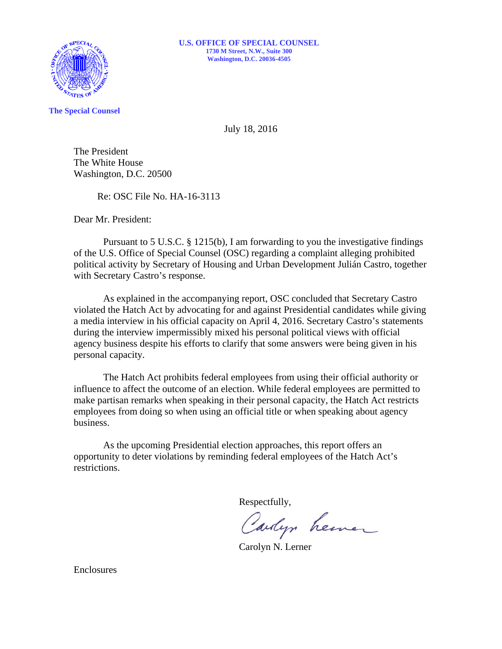

**The Special Counsel** 

July 18, 2016

The President The White House Washington, D.C. 20500

Re: OSC File No. HA-16-3113

Dear Mr. President:

Pursuant to 5 U.S.C. § 1215(b), I am forwarding to you the investigative findings of the U.S. Office of Special Counsel (OSC) regarding a complaint alleging prohibited political activity by Secretary of Housing and Urban Development Julián Castro, together with Secretary Castro's response.

As explained in the accompanying report, OSC concluded that Secretary Castro violated the Hatch Act by advocating for and against Presidential candidates while giving a media interview in his official capacity on April 4, 2016. Secretary Castro's statements during the interview impermissibly mixed his personal political views with official agency business despite his efforts to clarify that some answers were being given in his personal capacity.

The Hatch Act prohibits federal employees from using their official authority or influence to affect the outcome of an election. While federal employees are permitted to make partisan remarks when speaking in their personal capacity, the Hatch Act restricts employees from doing so when using an official title or when speaking about agency business.

As the upcoming Presidential election approaches, this report offers an opportunity to deter violations by reminding federal employees of the Hatch Act's restrictions.

Respectfully,

Carlyn henner

Carolyn N. Lerner

Enclosures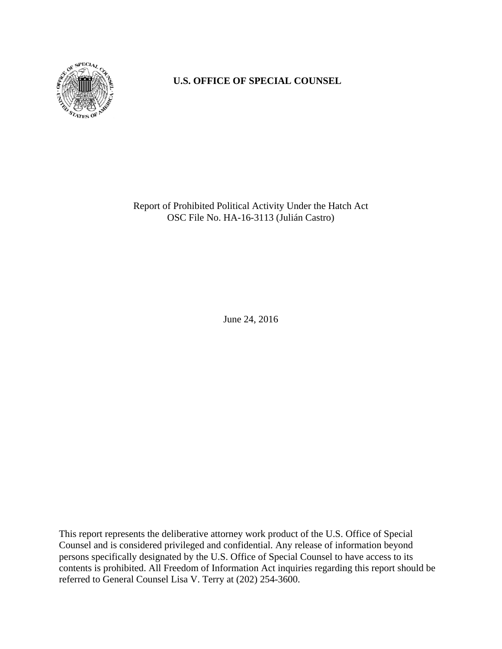

# **U.S. OFFICE OF SPECIAL COUNSEL**

Report of Prohibited Political Activity Under the Hatch Act OSC File No. HA-16-3113 (Julián Castro)

June 24, 2016

This report represents the deliberative attorney work product of the U.S. Office of Special Counsel and is considered privileged and confidential. Any release of information beyond persons specifically designated by the U.S. Office of Special Counsel to have access to its contents is prohibited. All Freedom of Information Act inquiries regarding this report should be referred to General Counsel Lisa V. Terry at (202) 254-3600.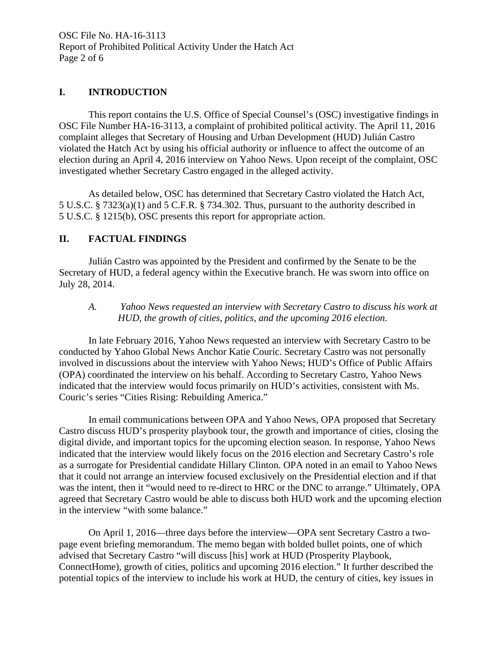OSC File No. HA-16-3113 Report of Prohibited Political Activity Under the Hatch Act Page 2 of 6

#### **I. INTRODUCTION**

 This report contains the U.S. Office of Special Counsel's (OSC) investigative findings in OSC File Number HA-16-3113, a complaint of prohibited political activity. The April 11, 2016 complaint alleges that Secretary of Housing and Urban Development (HUD) Julián Castro violated the Hatch Act by using his official authority or influence to affect the outcome of an election during an April 4, 2016 interview on Yahoo News. Upon receipt of the complaint, OSC investigated whether Secretary Castro engaged in the alleged activity.

As detailed below, OSC has determined that Secretary Castro violated the Hatch Act, 5 U.S.C. § 7323(a)(1) and 5 C.F.R. § 734.302. Thus, pursuant to the authority described in 5 U.S.C. § 1215(b), OSC presents this report for appropriate action.

#### **II. FACTUAL FINDINGS**

 Julián Castro was appointed by the President and confirmed by the Senate to be the Secretary of HUD, a federal agency within the Executive branch. He was sworn into office on July 28, 2014.

*A. Yahoo News requested an interview with Secretary Castro to discuss his work at HUD, the growth of cities, politics, and the upcoming 2016 election.*

In late February 2016, Yahoo News requested an interview with Secretary Castro to be conducted by Yahoo Global News Anchor Katie Couric. Secretary Castro was not personally involved in discussions about the interview with Yahoo News; HUD's Office of Public Affairs (OPA) coordinated the interview on his behalf. According to Secretary Castro, Yahoo News indicated that the interview would focus primarily on HUD's activities, consistent with Ms. Couric's series "Cities Rising: Rebuilding America."

In email communications between OPA and Yahoo News, OPA proposed that Secretary Castro discuss HUD's prosperity playbook tour, the growth and importance of cities, closing the digital divide, and important topics for the upcoming election season. In response, Yahoo News indicated that the interview would likely focus on the 2016 election and Secretary Castro's role as a surrogate for Presidential candidate Hillary Clinton. OPA noted in an email to Yahoo News that it could not arrange an interview focused exclusively on the Presidential election and if that was the intent, then it "would need to re-direct to HRC or the DNC to arrange." Ultimately, OPA agreed that Secretary Castro would be able to discuss both HUD work and the upcoming election in the interview "with some balance."

On April 1, 2016—three days before the interview—OPA sent Secretary Castro a twopage event briefing memorandum. The memo began with bolded bullet points, one of which advised that Secretary Castro "will discuss [his] work at HUD (Prosperity Playbook, ConnectHome), growth of cities, politics and upcoming 2016 election." It further described the potential topics of the interview to include his work at HUD, the century of cities, key issues in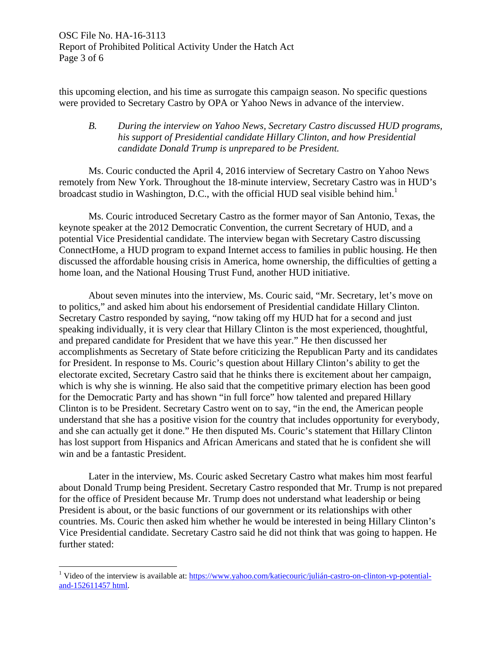this upcoming election, and his time as surrogate this campaign season. No specific questions were provided to Secretary Castro by OPA or Yahoo News in advance of the interview.

## *B. During the interview on Yahoo News, Secretary Castro discussed HUD programs, his support of Presidential candidate Hillary Clinton, and how Presidential candidate Donald Trump is unprepared to be President.*

 Ms. Couric conducted the April 4, 2016 interview of Secretary Castro on Yahoo News remotely from New York. Throughout the 18-minute interview, Secretary Castro was in HUD's broadcast studio in Washington, D.C., with the official HUD seal visible behind him.<sup>1</sup>

Ms. Couric introduced Secretary Castro as the former mayor of San Antonio, Texas, the keynote speaker at the 2012 Democratic Convention, the current Secretary of HUD, and a potential Vice Presidential candidate. The interview began with Secretary Castro discussing ConnectHome, a HUD program to expand Internet access to families in public housing. He then discussed the affordable housing crisis in America, home ownership, the difficulties of getting a home loan, and the National Housing Trust Fund, another HUD initiative.

About seven minutes into the interview, Ms. Couric said, "Mr. Secretary, let's move on to politics," and asked him about his endorsement of Presidential candidate Hillary Clinton. Secretary Castro responded by saying, "now taking off my HUD hat for a second and just speaking individually, it is very clear that Hillary Clinton is the most experienced, thoughtful, and prepared candidate for President that we have this year." He then discussed her accomplishments as Secretary of State before criticizing the Republican Party and its candidates for President. In response to Ms. Couric's question about Hillary Clinton's ability to get the electorate excited, Secretary Castro said that he thinks there is excitement about her campaign, which is why she is winning. He also said that the competitive primary election has been good for the Democratic Party and has shown "in full force" how talented and prepared Hillary Clinton is to be President. Secretary Castro went on to say, "in the end, the American people understand that she has a positive vision for the country that includes opportunity for everybody, and she can actually get it done." He then disputed Ms. Couric's statement that Hillary Clinton has lost support from Hispanics and African Americans and stated that he is confident she will win and be a fantastic President.

 Later in the interview, Ms. Couric asked Secretary Castro what makes him most fearful about Donald Trump being President. Secretary Castro responded that Mr. Trump is not prepared for the office of President because Mr. Trump does not understand what leadership or being President is about, or the basic functions of our government or its relationships with other countries. Ms. Couric then asked him whether he would be interested in being Hillary Clinton's Vice Presidential candidate. Secretary Castro said he did not think that was going to happen. He further stated:

1

<sup>&</sup>lt;sup>1</sup> Video of the interview is available at: https://www.yahoo.com/katiecouric/julián-castro-on-clinton-vp-potentialand-152611457 html.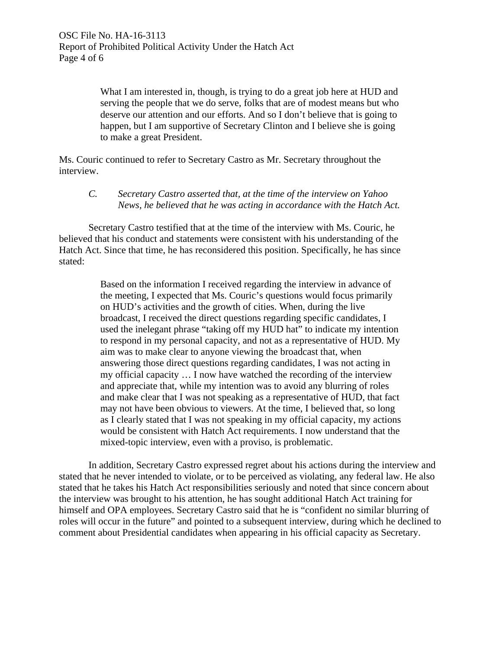What I am interested in, though, is trying to do a great job here at HUD and serving the people that we do serve, folks that are of modest means but who deserve our attention and our efforts. And so I don't believe that is going to happen, but I am supportive of Secretary Clinton and I believe she is going to make a great President.

Ms. Couric continued to refer to Secretary Castro as Mr. Secretary throughout the interview.

*C. Secretary Castro asserted that, at the time of the interview on Yahoo News, he believed that he was acting in accordance with the Hatch Act.*

Secretary Castro testified that at the time of the interview with Ms. Couric, he believed that his conduct and statements were consistent with his understanding of the Hatch Act. Since that time, he has reconsidered this position. Specifically, he has since stated:

> Based on the information I received regarding the interview in advance of the meeting, I expected that Ms. Couric's questions would focus primarily on HUD's activities and the growth of cities. When, during the live broadcast, I received the direct questions regarding specific candidates, I used the inelegant phrase "taking off my HUD hat" to indicate my intention to respond in my personal capacity, and not as a representative of HUD. My aim was to make clear to anyone viewing the broadcast that, when answering those direct questions regarding candidates, I was not acting in my official capacity … I now have watched the recording of the interview and appreciate that, while my intention was to avoid any blurring of roles and make clear that I was not speaking as a representative of HUD, that fact may not have been obvious to viewers. At the time, I believed that, so long as I clearly stated that I was not speaking in my official capacity, my actions would be consistent with Hatch Act requirements. I now understand that the mixed-topic interview, even with a proviso, is problematic.

In addition, Secretary Castro expressed regret about his actions during the interview and stated that he never intended to violate, or to be perceived as violating, any federal law. He also stated that he takes his Hatch Act responsibilities seriously and noted that since concern about the interview was brought to his attention, he has sought additional Hatch Act training for himself and OPA employees. Secretary Castro said that he is "confident no similar blurring of roles will occur in the future" and pointed to a subsequent interview, during which he declined to comment about Presidential candidates when appearing in his official capacity as Secretary.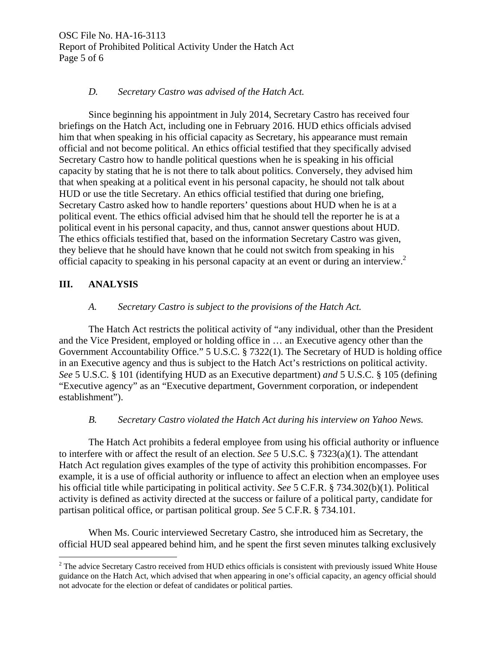OSC File No. HA-16-3113 Report of Prohibited Political Activity Under the Hatch Act Page 5 of 6

#### *D. Secretary Castro was advised of the Hatch Act.*

Since beginning his appointment in July 2014, Secretary Castro has received four briefings on the Hatch Act, including one in February 2016. HUD ethics officials advised him that when speaking in his official capacity as Secretary, his appearance must remain official and not become political. An ethics official testified that they specifically advised Secretary Castro how to handle political questions when he is speaking in his official capacity by stating that he is not there to talk about politics. Conversely, they advised him that when speaking at a political event in his personal capacity, he should not talk about HUD or use the title Secretary. An ethics official testified that during one briefing, Secretary Castro asked how to handle reporters' questions about HUD when he is at a political event. The ethics official advised him that he should tell the reporter he is at a political event in his personal capacity, and thus, cannot answer questions about HUD. The ethics officials testified that, based on the information Secretary Castro was given, they believe that he should have known that he could not switch from speaking in his official capacity to speaking in his personal capacity at an event or during an interview.<sup>2</sup>

## **III. ANALYSIS**

1

## *A. Secretary Castro is subject to the provisions of the Hatch Act.*

The Hatch Act restricts the political activity of "any individual, other than the President and the Vice President, employed or holding office in … an Executive agency other than the Government Accountability Office." 5 U.S.C. § 7322(1). The Secretary of HUD is holding office in an Executive agency and thus is subject to the Hatch Act's restrictions on political activity. *See* 5 U.S.C. § 101 (identifying HUD as an Executive department) *and* 5 U.S.C. § 105 (defining "Executive agency" as an "Executive department, Government corporation, or independent establishment").

## *B. Secretary Castro violated the Hatch Act during his interview on Yahoo News.*

The Hatch Act prohibits a federal employee from using his official authority or influence to interfere with or affect the result of an election. *See* 5 U.S.C. § 7323(a)(1). The attendant Hatch Act regulation gives examples of the type of activity this prohibition encompasses. For example, it is a use of official authority or influence to affect an election when an employee uses his official title while participating in political activity. *See* 5 C.F.R. § 734.302(b)(1). Political activity is defined as activity directed at the success or failure of a political party, candidate for partisan political office, or partisan political group. *See* 5 C.F.R. § 734.101.

When Ms. Couric interviewed Secretary Castro, she introduced him as Secretary, the official HUD seal appeared behind him, and he spent the first seven minutes talking exclusively

 $2^2$  The advice Secretary Castro received from HUD ethics officials is consistent with previously issued White House guidance on the Hatch Act, which advised that when appearing in one's official capacity, an agency official should not advocate for the election or defeat of candidates or political parties.